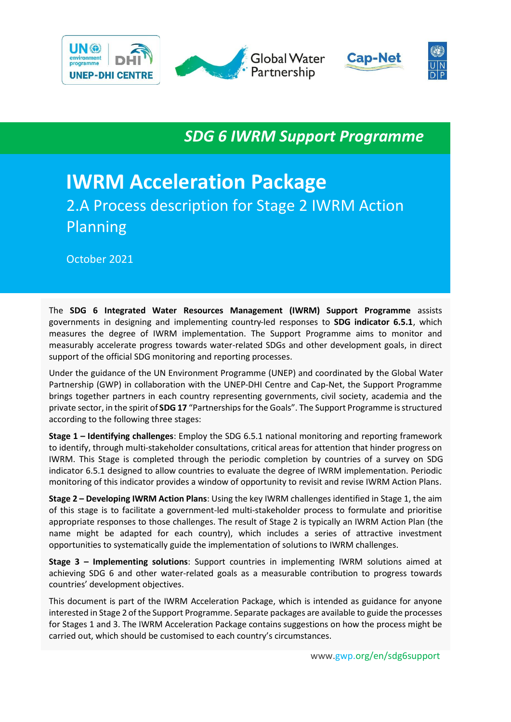

*SDG 6 IWRM Support Programme*

# **IWRM Acceleration Package** 2.A Process description for Stage 2 IWRM Action Planning

October 2021

The **SDG 6 Integrated Water Resources Management (IWRM) Support Programme** assists governments in designing and implementing country-led responses to **SDG indicator 6.5.1**, which measures the degree of IWRM implementation. The Support Programme aims to monitor and measurably accelerate progress towards water-related SDGs and other development goals, in direct support of the official SDG monitoring and reporting processes.

Under the guidance of the UN Environment Programme (UNEP) and coordinated by the Global Water Partnership (GWP) in collaboration with the UNEP-DHI Centre and Cap-Net, the Support Programme brings together partners in each country representing governments, civil society, academia and the private sector, in the spirit of **SDG 17** "Partnerships for the Goals". The Support Programme is structured according to the following three stages:

**Stage 1 – Identifying challenges**: Employ the SDG 6.5.1 national monitoring and reporting framework to identify, through multi-stakeholder consultations, critical areas for attention that hinder progress on IWRM. This Stage is completed through the periodic completion by countries of a survey on SDG indicator 6.5.1 designed to allow countries to evaluate the degree of IWRM implementation. Periodic monitoring of this indicator provides a window of opportunity to revisit and revise IWRM Action Plans.

**Stage 2 – Developing IWRM Action Plans**: Using the key IWRM challenges identified in Stage 1, the aim of this stage is to facilitate a government-led multi-stakeholder process to formulate and prioritise appropriate responses to those challenges. The result of Stage 2 is typically an IWRM Action Plan (the name might be adapted for each country), which includes a series of attractive investment opportunities to systematically guide the implementation of solutions to IWRM challenges.

**Stage 3 – Implementing solutions**: Support countries in implementing IWRM solutions aimed at achieving SDG 6 and other water-related goals as a measurable contribution to progress towards countries' development objectives.

This document is part of the IWRM Acceleration Package, which is intended as guidance for anyone interested in Stage 2 of the Support Programme. Separate packages are available to guide the processes for Stages 1 and 3. The IWRM Acceleration Package contains suggestions on how the process might be carried out, which should be customised to each country's circumstances.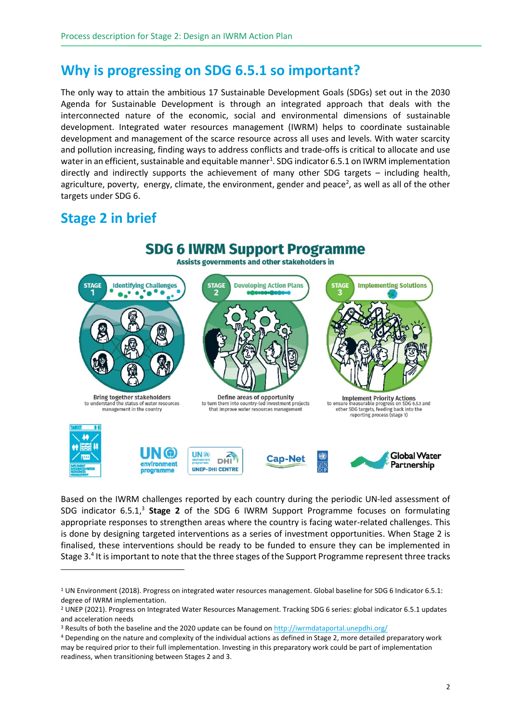### **Why is progressing on SDG 6.5.1 so important?**

The only way to attain the ambitious 17 Sustainable Development Goals (SDGs) set out in the 2030 Agenda for Sustainable Development is through an integrated approach that deals with the interconnected nature of the economic, social and environmental dimensions of sustainable development. Integrated water resources management (IWRM) helps to coordinate sustainable development and management of the scarce resource across all uses and levels. With water scarcity and pollution increasing, finding ways to address conflicts and trade-offs is critical to allocate and use water in an efficient, sustainable and equitable manner $^1$ . SDG indicator 6.5.1 on IWRM implementation directly and indirectly supports the achievement of many other SDG targets – including health, agriculture, poverty, energy, climate, the environment, gender and peace<sup>2</sup>, as well as all of the other targets under SDG 6.

### **Stage 2 in brief**



Based on the IWRM challenges reported by each country during the periodic UN-led assessment of SDG indicator 6.5.1,<sup>3</sup> Stage 2 of the SDG 6 IWRM Support Programme focuses on formulating appropriate responses to strengthen areas where the country is facing water-related challenges. This is done by designing targeted interventions as a series of investment opportunities. When Stage 2 is finalised, these interventions should be ready to be funded to ensure they can be implemented in Stage 3.<sup>4</sup> It is important to note that the three stages of the Support Programme represent three tracks

<sup>1</sup> UN Environment (2018). Progress on integrated water resources management. Global baseline for SDG 6 Indicator 6.5.1: degree of IWRM implementation.

<sup>2</sup> UNEP (2021). Progress on Integrated Water Resources Management. Tracking SDG 6 series: global indicator 6.5.1 updates and acceleration needs

<sup>3</sup> Results of both the baseline and the 2020 update can be found o[n http://iwrmdataportal.unepdhi.org/](http://iwrmdataportal.unepdhi.org/)

<sup>4</sup> Depending on the nature and complexity of the individual actions as defined in Stage 2, more detailed preparatory work may be required prior to their full implementation. Investing in this preparatory work could be part of implementation readiness, when transitioning between Stages 2 and 3.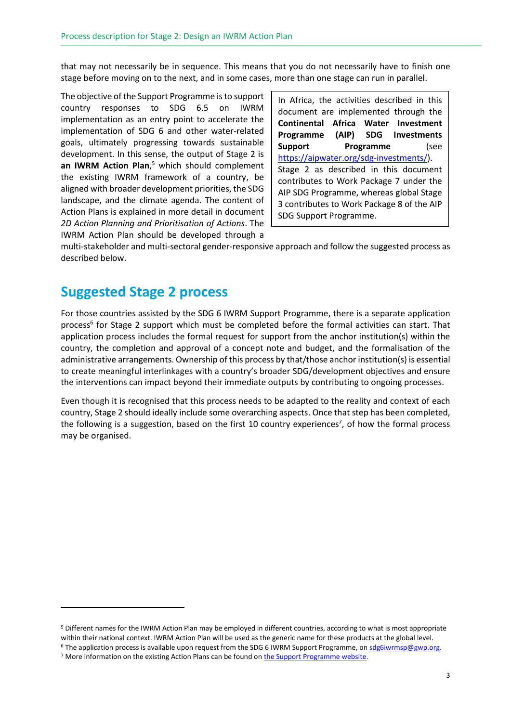that may not necessarily be in sequence. This means that you do not necessarily have to finish one stage before moving on to the next, and in some cases, more than one stage can run in parallel.

The objective of the Support Programme is to support country responses to SDG 6.5 on IWRM implementation as an entry point to accelerate the implementation of SDG 6 and other water-related goals, ultimately progressing towards sustainable development. In this sense, the output of Stage 2 is **an IWRM Action Plan**, <sup>5</sup> which should complement the existing IWRM framework of a country, be aligned with broader development priorities, the SDG landscape, and the climate agenda. The content of Action Plans is explained in more detail in document *2D Action Planning and Prioritisation of Actions*. The IWRM Action Plan should be developed through a

In Africa, the activities described in this document are implemented through the **Continental Africa Water Investment Programme (AIP) SDG Investments Support Programme** (see [https://aipwater.org/sdg-investments/\)](https://aipwater.org/sdg-investments/). Stage 2 as described in this document contributes to Work Package 7 under the AIP SDG Programme, whereas global Stage 3 contributes to Work Package 8 of the AIP SDG Support Programme.

multi-stakeholder and multi-sectoral gender-responsive approach and follow the suggested process as described below.

#### **Suggested Stage 2 process**

For those countries assisted by the SDG 6 IWRM Support Programme, there is a separate application process<sup>6</sup> for Stage 2 support which must be completed before the formal activities can start. That application process includes the formal request for support from the anchor institution(s) within the country, the completion and approval of a concept note and budget, and the formalisation of the administrative arrangements. Ownership of this process by that/those anchor institution(s) is essential to create meaningful interlinkages with a country's broader SDG/development objectives and ensure the interventions can impact beyond their immediate outputs by contributing to ongoing processes.

Even though it is recognised that this process needs to be adapted to the reality and context of each country, Stage 2 should ideally include some overarching aspects. Once that step has been completed, the following is a suggestion, based on the first 10 country experiences<sup>7</sup>, of how the formal process may be organised.

<sup>5</sup> Different names for the IWRM Action Plan may be employed in different countries, according to what is most appropriate within their national context. IWRM Action Plan will be used as the generic name for these products at the global level. <sup>6</sup> The application process is available upon request from the SDG 6 IWRM Support Programme, on sdg6iwrmsp@gwp.org.

<sup>&</sup>lt;sup>7</sup> More information on the existing Action Plans can be found o[n the Support Programme website.](https://www.gwp.org/en/sdg6support/)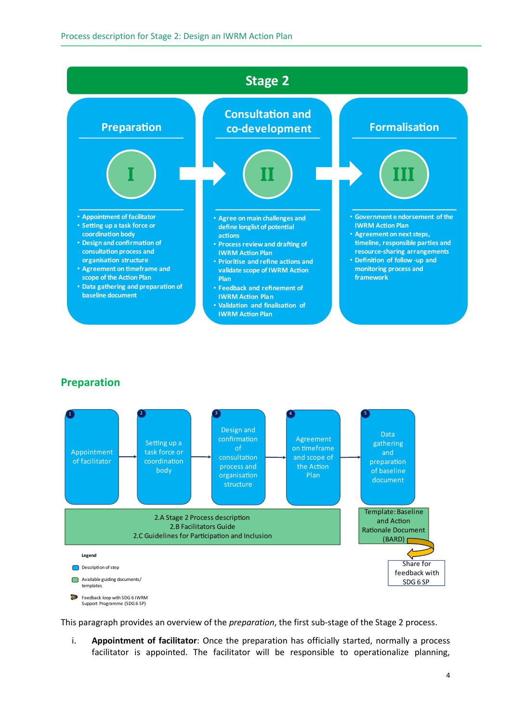

#### **Preparation**



This paragraph provides an overview of the *preparation*, the first sub-stage of the Stage 2 process.

i. **Appointment of facilitator**: Once the preparation has officially started, normally a process facilitator is appointed. The facilitator will be responsible to operationalize planning,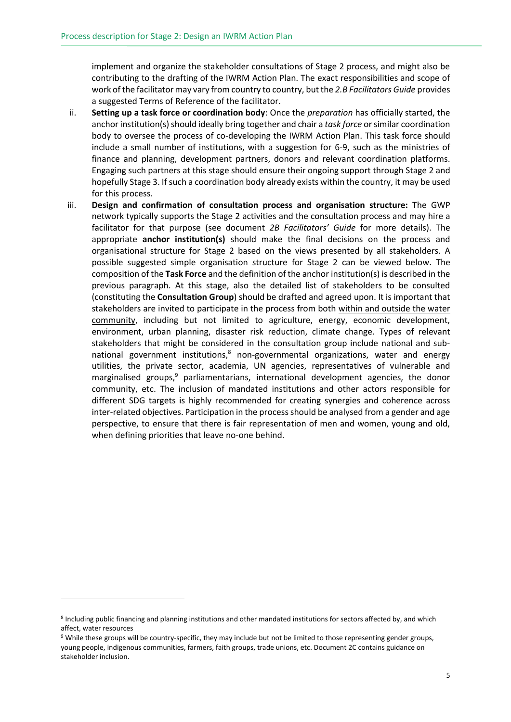implement and organize the stakeholder consultations of Stage 2 process, and might also be contributing to the drafting of the IWRM Action Plan. The exact responsibilities and scope of work of the facilitator may vary from country to country, but the *2.B Facilitators Guide* provides a suggested Terms of Reference of the facilitator.

- ii. **Setting up a task force or coordination body**: Once the *preparation* has officially started, the anchor institution(s) should ideally bring together and chair a *task force* or similar coordination body to oversee the process of co-developing the IWRM Action Plan. This task force should include a small number of institutions, with a suggestion for 6-9, such as the ministries of finance and planning, development partners, donors and relevant coordination platforms. Engaging such partners at this stage should ensure their ongoing support through Stage 2 and hopefully Stage 3. If such a coordination body already exists within the country, it may be used for this process.
- iii. **Design and confirmation of consultation process and organisation structure:** The GWP network typically supports the Stage 2 activities and the consultation process and may hire a facilitator for that purpose (see document *2B Facilitators' Guide* for more details). The appropriate **anchor institution(s)** should make the final decisions on the process and organisational structure for Stage 2 based on the views presented by all stakeholders. A possible suggested simple organisation structure for Stage 2 can be viewed below. The composition of the **Task Force** and the definition of the anchor institution(s) is described in the previous paragraph. At this stage, also the detailed list of stakeholders to be consulted (constituting the **Consultation Group**) should be drafted and agreed upon. It is important that stakeholders are invited to participate in the process from both within and outside the water community, including but not limited to agriculture, energy, economic development, environment, urban planning, disaster risk reduction, climate change. Types of relevant stakeholders that might be considered in the consultation group include national and subnational government institutions,<sup>8</sup> non-governmental organizations, water and energy utilities, the private sector, academia, UN agencies, representatives of vulnerable and marginalised groups, <sup>9</sup> parliamentarians, international development agencies, the donor community, etc. The inclusion of mandated institutions and other actors responsible for different SDG targets is highly recommended for creating synergies and coherence across inter-related objectives. Participation in the process should be analysed from a gender and age perspective, to ensure that there is fair representation of men and women, young and old, when defining priorities that leave no-one behind.

<sup>&</sup>lt;sup>8</sup> Including public financing and planning institutions and other mandated institutions for sectors affected by, and which affect, water resources

<sup>9</sup> While these groups will be country-specific, they may include but not be limited to those representing gender groups, young people, indigenous communities, farmers, faith groups, trade unions, etc. Document 2C contains guidance on stakeholder inclusion.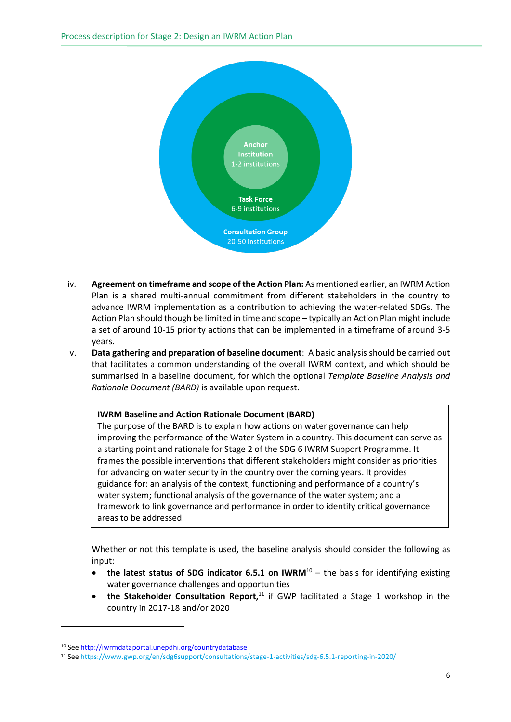

- iv. **Agreement on timeframe and scope of the Action Plan:** As mentioned earlier, an IWRM Action Plan is a shared multi-annual commitment from different stakeholders in the country to advance IWRM implementation as a contribution to achieving the water-related SDGs. The Action Plan should though be limited in time and scope – typically an Action Plan might include a set of around 10-15 priority actions that can be implemented in a timeframe of around 3-5 years.
- v. **Data gathering and preparation of baseline document**: A basic analysis should be carried out that facilitates a common understanding of the overall IWRM context, and which should be summarised in a baseline document, for which the optional *Template Baseline Analysis and Rationale Document (BARD)* is available upon request.

#### **IWRM Baseline and Action Rationale Document (BARD)**

The purpose of the BARD is to explain how actions on water governance can help improving the performance of the Water System in a country. This document can serve as a starting point and rationale for Stage 2 of the SDG 6 IWRM Support Programme. It frames the possible interventions that different stakeholders might consider as priorities for advancing on water security in the country over the coming years. It provides guidance for: an analysis of the context, functioning and performance of a country's water system; functional analysis of the governance of the water system; and a framework to link governance and performance in order to identify critical governance areas to be addressed.

Whether or not this template is used, the baseline analysis should consider the following as input:

- the latest status of SDG indicator 6.5.1 on IWRM<sup>10</sup> the basis for identifying existing water governance challenges and opportunities
- **the Stakeholder Consultation Report**,<sup>11</sup> if GWP facilitated a Stage 1 workshop in the country in 2017-18 and/or 2020

<sup>10</sup> See<http://iwrmdataportal.unepdhi.org/countrydatabase>

<sup>11</sup> See<https://www.gwp.org/en/sdg6support/consultations/stage-1-activities/sdg-6.5.1-reporting-in-2020/>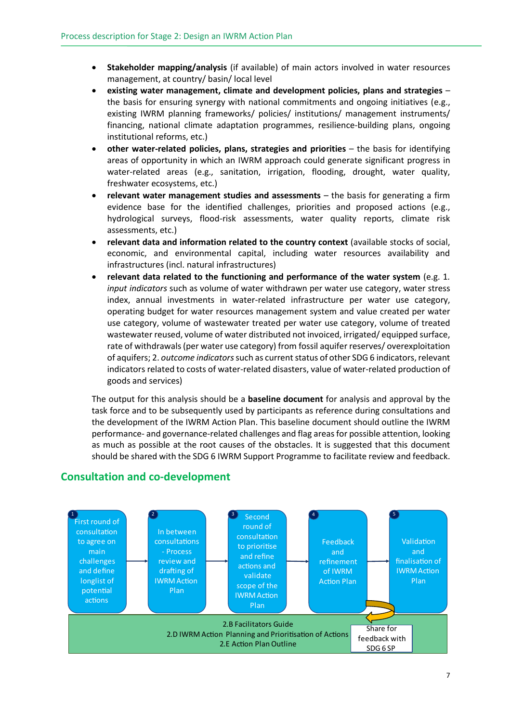- **Stakeholder mapping/analysis** (if available) of main actors involved in water resources management, at country/ basin/ local level
- **existing water management, climate and development policies, plans and strategies** the basis for ensuring synergy with national commitments and ongoing initiatives (e.g., existing IWRM planning frameworks/ policies/ institutions/ management instruments/ financing, national climate adaptation programmes, resilience-building plans, ongoing institutional reforms, etc.)
- **other water-related policies, plans, strategies and priorities**  the basis for identifying areas of opportunity in which an IWRM approach could generate significant progress in water-related areas (e.g., sanitation, irrigation, flooding, drought, water quality, freshwater ecosystems, etc.)
- **relevant water management studies and assessments** the basis for generating a firm evidence base for the identified challenges, priorities and proposed actions (e.g., hydrological surveys, flood-risk assessments, water quality reports, climate risk assessments, etc.)
- **relevant data and information related to the country context** (available stocks of social, economic, and environmental capital, including water resources availability and infrastructures (incl. natural infrastructures)
- **relevant data related to the functioning and performance of the water system** (e.g. 1*. input indicators* such as volume of water withdrawn per water use category, water stress index, annual investments in water-related infrastructure per water use category, operating budget for water resources management system and value created per water use category, volume of wastewater treated per water use category, volume of treated wastewater reused, volume of water distributed not invoiced, irrigated/ equipped surface, rate of withdrawals (per water use category) from fossil aquifer reserves/ overexploitation of aquifers; 2. *outcome indicators*such as current status of other SDG 6 indicators, relevant indicators related to costs of water-related disasters, value of water-related production of goods and services)

The output for this analysis should be a **baseline document** for analysis and approval by the task force and to be subsequently used by participants as reference during consultations and the development of the IWRM Action Plan. This baseline document should outline the IWRM performance- and governance-related challenges and flag areas for possible attention, looking as much as possible at the root causes of the obstacles. It is suggested that this document should be shared with the SDG 6 IWRM Support Programme to facilitate review and feedback.



#### **Consultation and co-development**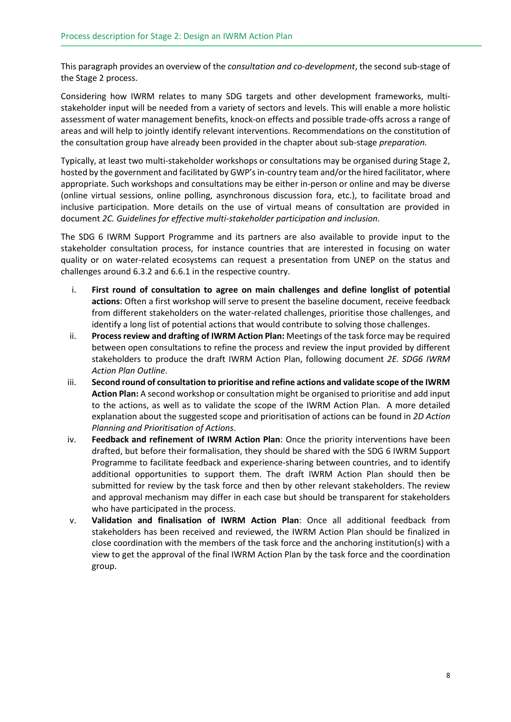This paragraph provides an overview of the *consultation and co-development*, the second sub-stage of the Stage 2 process.

Considering how IWRM relates to many SDG targets and other development frameworks, multistakeholder input will be needed from a variety of sectors and levels. This will enable a more holistic assessment of water management benefits, knock-on effects and possible trade-offs across a range of areas and will help to jointly identify relevant interventions. Recommendations on the constitution of the consultation group have already been provided in the chapter about sub-stage *preparation.*

Typically, at least two multi-stakeholder workshops or consultations may be organised during Stage 2, hosted by the government and facilitated by GWP's in-country team and/or the hired facilitator, where appropriate. Such workshops and consultations may be either in-person or online and may be diverse (online virtual sessions, online polling, asynchronous discussion fora, etc.), to facilitate broad and inclusive participation. More details on the use of virtual means of consultation are provided in document *2C. Guidelines for effective multi-stakeholder participation and inclusion*.

The SDG 6 IWRM Support Programme and its partners are also available to provide input to the stakeholder consultation process, for instance countries that are interested in focusing on water quality or on water-related ecosystems can request a presentation from UNEP on the status and challenges around 6.3.2 and 6.6.1 in the respective country.

- i. **First round of consultation to agree on main challenges and define longlist of potential actions**: Often a first workshop will serve to present the baseline document, receive feedback from different stakeholders on the water-related challenges, prioritise those challenges, and identify a long list of potential actions that would contribute to solving those challenges.
- ii. **Process review and drafting of IWRM Action Plan:** Meetings of the task force may be required between open consultations to refine the process and review the input provided by different stakeholders to produce the draft IWRM Action Plan, following document *2E. SDG6 IWRM Action Plan Outline*.
- iii. **Second round of consultation to prioritise and refine actions and validate scope of the IWRM Action Plan:** A second workshop or consultation might be organised to prioritise and add input to the actions, as well as to validate the scope of the IWRM Action Plan. A more detailed explanation about the suggested scope and prioritisation of actions can be found in *2D Action Planning and Prioritisation of Actions*.
- iv. **Feedback and refinement of IWRM Action Plan**: Once the priority interventions have been drafted, but before their formalisation, they should be shared with the SDG 6 IWRM Support Programme to facilitate feedback and experience-sharing between countries, and to identify additional opportunities to support them. The draft IWRM Action Plan should then be submitted for review by the task force and then by other relevant stakeholders. The review and approval mechanism may differ in each case but should be transparent for stakeholders who have participated in the process.
- v. **Validation and finalisation of IWRM Action Plan**: Once all additional feedback from stakeholders has been received and reviewed, the IWRM Action Plan should be finalized in close coordination with the members of the task force and the anchoring institution(s) with a view to get the approval of the final IWRM Action Plan by the task force and the coordination group.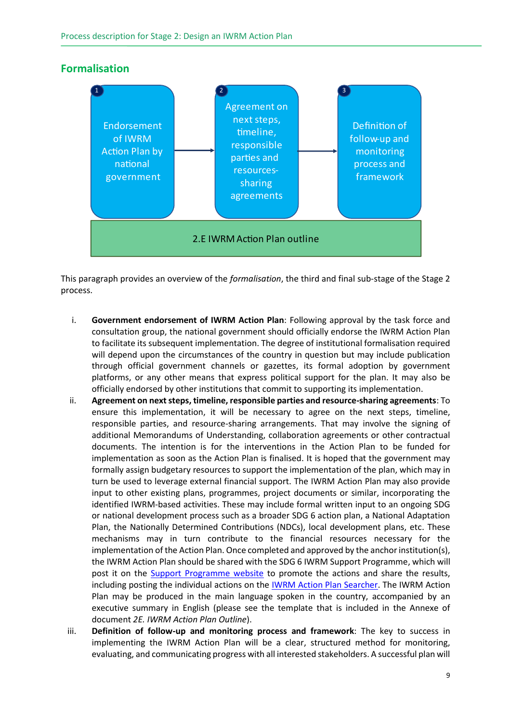

#### **Formalisation**

This paragraph provides an overview of the *formalisation*, the third and final sub-stage of the Stage 2 process.

- i. **Government endorsement of IWRM Action Plan**: Following approval by the task force and consultation group, the national government should officially endorse the IWRM Action Plan to facilitate its subsequent implementation. The degree of institutional formalisation required will depend upon the circumstances of the country in question but may include publication through official government channels or gazettes, its formal adoption by government platforms, or any other means that express political support for the plan. It may also be officially endorsed by other institutions that commit to supporting its implementation.
- ii. **Agreement on next steps, timeline, responsible parties and resource-sharing agreements**: To ensure this implementation, it will be necessary to agree on the next steps, timeline, responsible parties, and resource-sharing arrangements. That may involve the signing of additional Memorandums of Understanding, collaboration agreements or other contractual documents. The intention is for the interventions in the Action Plan to be funded for implementation as soon as the Action Plan is finalised. It is hoped that the government may formally assign budgetary resources to support the implementation of the plan, which may in turn be used to leverage external financial support. The IWRM Action Plan may also provide input to other existing plans, programmes, project documents or similar, incorporating the identified IWRM-based activities. These may include formal written input to an ongoing SDG or national development process such as a broader SDG 6 action plan, a National Adaptation Plan, the Nationally Determined Contributions (NDCs), local development plans, etc. These mechanisms may in turn contribute to the financial resources necessary for the implementation of the Action Plan. Once completed and approved by the anchor institution(s), the IWRM Action Plan should be shared with the SDG 6 IWRM Support Programme, which will post it on the **Support Programme website** to promote the actions and share the results, including posting the individual actions on the [IWRM Action Plan Searcher.](https://www.gwp.org/en/sdg6support/engage/iwrm-actions/actionsearch/) The IWRM Action Plan may be produced in the main language spoken in the country, accompanied by an executive summary in English (please see the template that is included in the Annexe of document *2E. IWRM Action Plan Outline*).
- iii. **Definition of follow-up and monitoring process and framework**: The key to success in implementing the IWRM Action Plan will be a clear, structured method for monitoring, evaluating, and communicating progress with all interested stakeholders. A successful plan will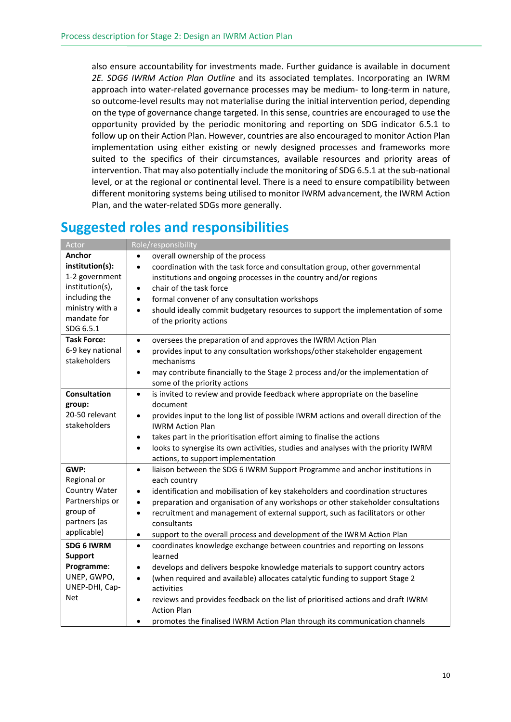also ensure accountability for investments made. Further guidance is available in document *2E. SDG6 IWRM Action Plan Outline* and its associated templates. Incorporating an IWRM approach into water-related governance processes may be medium- to long-term in nature, so outcome-level results may not materialise during the initial intervention period, depending on the type of governance change targeted. In this sense, countries are encouraged to use the opportunity provided by the periodic monitoring and reporting on SDG indicator 6.5.1 to follow up on their Action Plan. However, countries are also encouraged to monitor Action Plan implementation using either existing or newly designed processes and frameworks more suited to the specifics of their circumstances, available resources and priority areas of intervention. That may also potentially include the monitoring of SDG 6.5.1 at the sub-national level, or at the regional or continental level. There is a need to ensure compatibility between different monitoring systems being utilised to monitor IWRM advancement, the IWRM Action Plan, and the water-related SDGs more generally.

#### **Suggested roles and responsibilities**

| Actor                                                                                                                          | Role/responsibility                                                                                                                                                                                                                                                                                                                                                                                                                                                                                               |
|--------------------------------------------------------------------------------------------------------------------------------|-------------------------------------------------------------------------------------------------------------------------------------------------------------------------------------------------------------------------------------------------------------------------------------------------------------------------------------------------------------------------------------------------------------------------------------------------------------------------------------------------------------------|
| Anchor<br>institution(s):<br>1-2 government<br>institution(s),<br>including the<br>ministry with a<br>mandate for<br>SDG 6.5.1 | overall ownership of the process<br>coordination with the task force and consultation group, other governmental<br>$\bullet$<br>institutions and ongoing processes in the country and/or regions<br>chair of the task force<br>$\bullet$<br>formal convener of any consultation workshops<br>$\bullet$<br>should ideally commit budgetary resources to support the implementation of some<br>$\bullet$<br>of the priority actions                                                                                 |
| <b>Task Force:</b><br>6-9 key national<br>stakeholders                                                                         | oversees the preparation of and approves the IWRM Action Plan<br>$\bullet$<br>provides input to any consultation workshops/other stakeholder engagement<br>$\bullet$<br>mechanisms<br>may contribute financially to the Stage 2 process and/or the implementation of<br>$\bullet$<br>some of the priority actions                                                                                                                                                                                                 |
| <b>Consultation</b><br>group:<br>20-50 relevant<br>stakeholders                                                                | is invited to review and provide feedback where appropriate on the baseline<br>$\bullet$<br>document<br>provides input to the long list of possible IWRM actions and overall direction of the<br>$\bullet$<br><b>IWRM Action Plan</b><br>takes part in the prioritisation effort aiming to finalise the actions<br>$\bullet$<br>looks to synergise its own activities, studies and analyses with the priority IWRM<br>$\bullet$<br>actions, to support implementation                                             |
| GWP:<br>Regional or<br>Country Water<br>Partnerships or<br>group of<br>partners (as<br>applicable)                             | liaison between the SDG 6 IWRM Support Programme and anchor institutions in<br>$\bullet$<br>each country<br>identification and mobilisation of key stakeholders and coordination structures<br>$\bullet$<br>preparation and organisation of any workshops or other stakeholder consultations<br>$\bullet$<br>recruitment and management of external support, such as facilitators or other<br>$\bullet$<br>consultants<br>support to the overall process and development of the IWRM Action Plan<br>$\bullet$     |
| <b>SDG 6 IWRM</b><br><b>Support</b><br>Programme:<br>UNEP, GWPO,<br>UNEP-DHI, Cap-<br><b>Net</b>                               | coordinates knowledge exchange between countries and reporting on lessons<br>$\bullet$<br>learned<br>develops and delivers bespoke knowledge materials to support country actors<br>٠<br>(when required and available) allocates catalytic funding to support Stage 2<br>$\bullet$<br>activities<br>reviews and provides feedback on the list of prioritised actions and draft IWRM<br>$\bullet$<br><b>Action Plan</b><br>promotes the finalised IWRM Action Plan through its communication channels<br>$\bullet$ |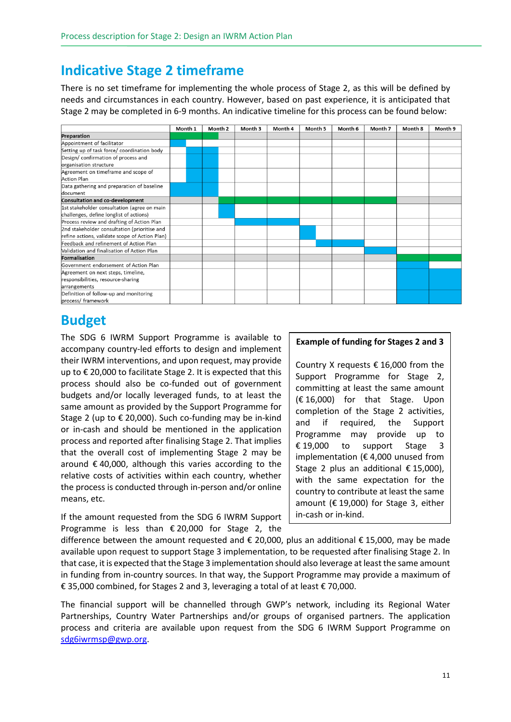## **Indicative Stage 2 timeframe**

There is no set timeframe for implementing the whole process of Stage 2, as this will be defined by needs and circumstances in each country. However, based on past experience, it is anticipated that Stage 2 may be completed in 6-9 months. An indicative timeline for this process can be found below:



# **Budget**

The SDG 6 IWRM Support Programme is available to accompany country-led efforts to design and implement their IWRM interventions, and upon request, may provide up to € 20,000 to facilitate Stage 2. It is expected that this process should also be co-funded out of government budgets and/or locally leveraged funds, to at least the same amount as provided by the Support Programme for Stage 2 (up to  $\epsilon$  20,000). Such co-funding may be in-kind or in-cash and should be mentioned in the application process and reported after finalising Stage 2. That implies that the overall cost of implementing Stage 2 may be around € 40,000, although this varies according to the relative costs of activities within each country, whether the process is conducted through in-person and/or online means, etc.

If the amount requested from the SDG 6 IWRM Support Programme is less than € 20,000 for Stage 2, the

#### **Example of funding for Stages 2 and 3**

Country X requests € 16,000 from the Support Programme for Stage 2, committing at least the same amount (€ 16,000) for that Stage. Upon completion of the Stage 2 activities, and if required, the Support Programme may provide up to € 19,000 to support Stage 3 implementation ( $\epsilon$  4,000 unused from Stage 2 plus an additional  $\epsilon$  15,000), with the same expectation for the country to contribute at least the same amount (€ 19,000) for Stage 3, either in-cash or in-kind.

difference between the amount requested and  $\epsilon$  20,000, plus an additional  $\epsilon$  15,000, may be made available upon request to support Stage 3 implementation, to be requested after finalising Stage 2. In that case, it is expected that the Stage 3 implementation should also leverage at least the same amount in funding from in-country sources. In that way, the Support Programme may provide a maximum of € 35,000 combined, for Stages 2 and 3, leveraging a total of at least € 70,000.

The financial support will be channelled through GWP's network, including its Regional Water Partnerships, Country Water Partnerships and/or groups of organised partners. The application process and criteria are available upon request from the SDG 6 IWRM Support Programme on [sdg6iwrmsp@gwp.org.](mailto:sdg6iwrmsp@gwp.org)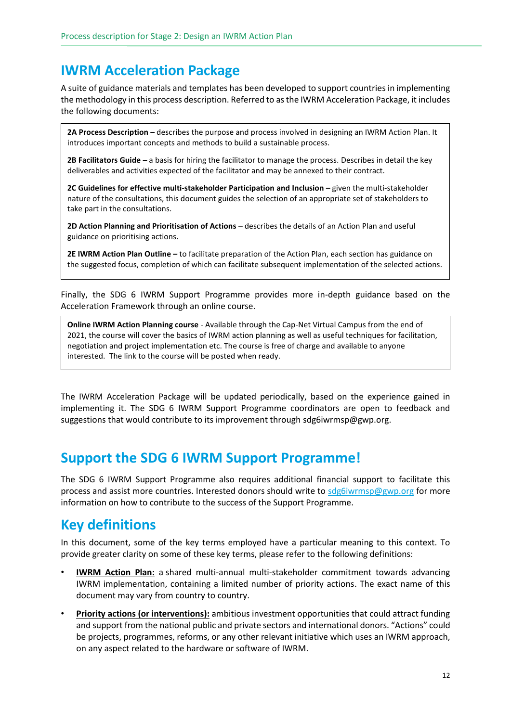### **IWRM Acceleration Package**

A suite of guidance materials and templates has been developed to support countries in implementing the methodology in this process description. Referred to as the IWRM Acceleration Package, it includes the following documents:

**2A Process Description –** describes the purpose and process involved in designing an IWRM Action Plan. It introduces important concepts and methods to build a sustainable process.

**2B Facilitators Guide** *–* a basis for hiring the facilitator to manage the process. Describes in detail the key deliverables and activities expected of the facilitator and may be annexed to their contract.

**2C Guidelines for effective multi-stakeholder Participation and Inclusion** *–* given the multi-stakeholder nature of the consultations, this document guides the selection of an appropriate set of stakeholders to take part in the consultations.

**2D Action Planning and Prioritisation of Actions** – describes the details of an Action Plan and useful guidance on prioritising actions.

**2E IWRM Action Plan Outline** *–* to facilitate preparation of the Action Plan, each section has guidance on the suggested focus, completion of which can facilitate subsequent implementation of the selected actions.

Finally, the SDG 6 IWRM Support Programme provides more in-depth guidance based on the Acceleration Framework through an online course.

**Online IWRM Action Planning course** - Available through the Cap-Net Virtual Campus from the end of 2021, the course will cover the basics of IWRM action planning as well as useful techniques for facilitation, negotiation and project implementation etc. The course is free of charge and available to anyone interested. The link to the course will be posted when ready.

The IWRM Acceleration Package will be updated periodically, based on the experience gained in implementing it. The SDG 6 IWRM Support Programme coordinators are open to feedback and suggestions that would contribute to its improvement through [sdg6iwrmsp@gwp.org.](mailto:sdg6iwrmsp@gwp.org)

### **Support the SDG 6 IWRM Support Programme!**

The SDG 6 IWRM Support Programme also requires additional financial support to facilitate this process and assist more countries. Interested donors should write to [sdg6iwrmsp@gwp.org](mailto:sdg6iwrmsp@gwp.org) for more information on how to contribute to the success of the Support Programme.

### **Key definitions**

In this document, some of the key terms employed have a particular meaning to this context. To provide greater clarity on some of these key terms, please refer to the following definitions:

- **IWRM Action Plan:** a shared multi-annual multi-stakeholder commitment towards advancing IWRM implementation, containing a limited number of priority actions. The exact name of this document may vary from country to country.
- **Priority actions (or interventions):** ambitious investment opportunities that could attract funding and support from the national public and private sectors and international donors. "Actions" could be projects, programmes, reforms, or any other relevant initiative which uses an IWRM approach, on any aspect related to the hardware or software of IWRM.